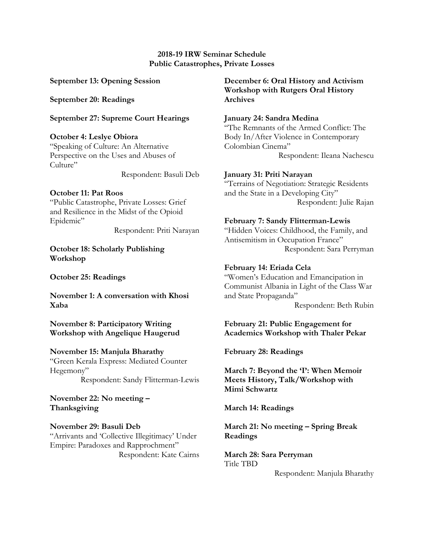#### **2018-19 IRW Seminar Schedule Public Catastrophes, Private Losses**

**September 13: Opening Session**

**September 20: Readings**

**September 27: Supreme Court Hearings**

**October 4: Leslye Obiora** "Speaking of Culture: An Alternative Perspective on the Uses and Abuses of Culture"

Respondent: Basuli Deb

# **October 11: Pat Roos**

"Public Catastrophe, Private Losses: Grief and Resilience in the Midst of the Opioid Epidemic"

Respondent: Priti Narayan

**October 18: Scholarly Publishing Workshop**

**October 25: Readings**

**November 1: A conversation with Khosi Xaba** 

**November 8: Participatory Writing Workshop with Angelique Haugerud**

# **November 15: Manjula Bharathy**

"Green Kerala Express: Mediated Counter Hegemony" Respondent: Sandy Flitterman-Lewis

**November 22: No meeting – Thanksgiving** 

**November 29: Basuli Deb** "Arrivants and 'Collective Illegitimacy' Under Empire: Paradoxes and Rapprochment" Respondent: Kate Cairns **December 6: Oral History and Activism Workshop with Rutgers Oral History Archives**

# **January 24: Sandra Medina**

"The Remnants of the Armed Conflict: The Body In/After Violence in Contemporary Colombian Cinema" Respondent: Ileana Nachescu

# **January 31: Priti Narayan**

"Terrains of Negotiation: Strategic Residents and the State in a Developing City" Respondent: Julie Rajan

# **February 7: Sandy Flitterman-Lewis**

"Hidden Voices: Childhood, the Family, and Antisemitism in Occupation France" Respondent: Sara Perryman

# **February 14: Eriada Cela**

"Women's Education and Emancipation in Communist Albania in Light of the Class War and State Propaganda" Respondent: Beth Rubin

# **February 21: Public Engagement for Academics Workshop with Thaler Pekar**

**February 28: Readings** 

**March 7: Beyond the 'I': When Memoir Meets History, Talk/Workshop with Mimi Schwartz**

**March 14: Readings**

**March 21: No meeting – Spring Break Readings**

**March 28: Sara Perryman** Title TBD

Respondent: Manjula Bharathy